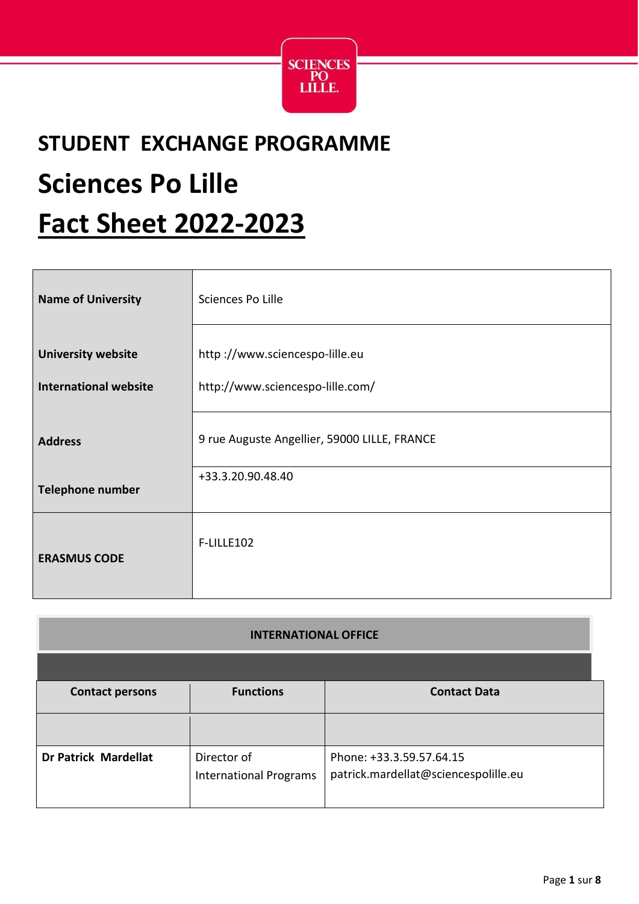

## **STUDENT EXCHANGE PROGRAMME Sciences Po Lille Fact Sheet 2022-2023**

| <b>Name of University</b>                                 | Sciences Po Lille                                                  |
|-----------------------------------------------------------|--------------------------------------------------------------------|
| <b>University website</b><br><b>International website</b> | http://www.sciencespo-lille.eu<br>http://www.sciencespo-lille.com/ |
| <b>Address</b>                                            | 9 rue Auguste Angellier, 59000 LILLE, FRANCE                       |
| <b>Telephone number</b>                                   | +33.3.20.90.48.40                                                  |
| <b>ERASMUS CODE</b>                                       | F-LILLE102                                                         |

| <b>INTERNATIONAL OFFICE</b> |                                              |                                                                  |
|-----------------------------|----------------------------------------------|------------------------------------------------------------------|
| <b>Contact persons</b>      | <b>Functions</b>                             | <b>Contact Data</b>                                              |
| <b>Dr Patrick Mardellat</b> | Director of<br><b>International Programs</b> | Phone: +33.3.59.57.64.15<br>patrick.mardellat@sciencespolille.eu |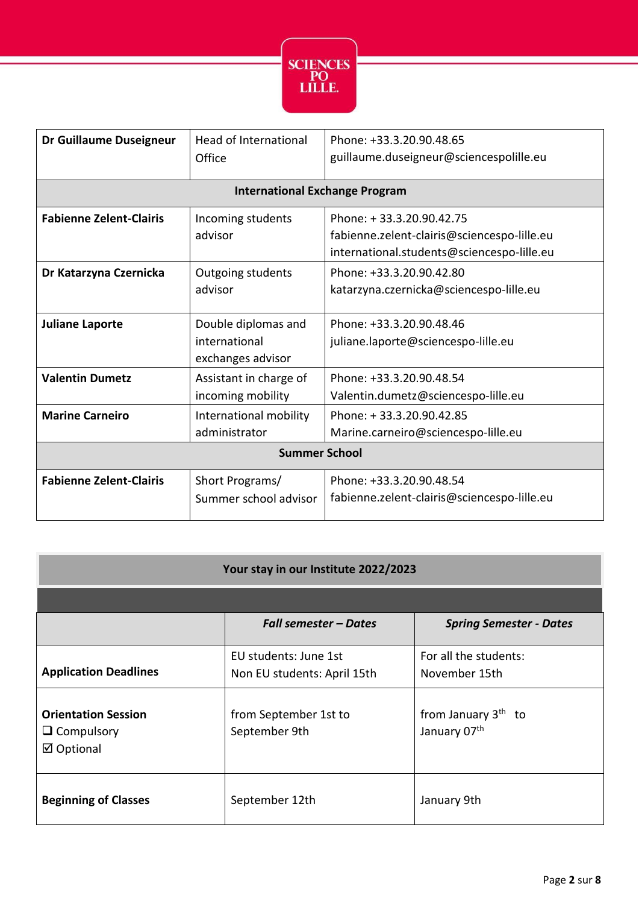

| Dr Guillaume Duseigneur               | <b>Head of International</b><br>Office                    | Phone: +33.3.20.90.48.65<br>guillaume.duseigneur@sciencespolille.eu                                                   |
|---------------------------------------|-----------------------------------------------------------|-----------------------------------------------------------------------------------------------------------------------|
| <b>International Exchange Program</b> |                                                           |                                                                                                                       |
| <b>Fabienne Zelent-Clairis</b>        | Incoming students<br>advisor                              | Phone: +33.3.20.90.42.75<br>fabienne.zelent-clairis@sciencespo-lille.eu<br>international.students@sciencespo-lille.eu |
| Dr Katarzyna Czernicka                | Outgoing students<br>advisor                              | Phone: +33.3.20.90.42.80<br>katarzyna.czernicka@sciencespo-lille.eu                                                   |
| <b>Juliane Laporte</b>                | Double diplomas and<br>international<br>exchanges advisor | Phone: +33.3.20.90.48.46<br>juliane.laporte@sciencespo-lille.eu                                                       |
| <b>Valentin Dumetz</b>                | Assistant in charge of<br>incoming mobility               | Phone: +33.3.20.90.48.54<br>Valentin.dumetz@sciencespo-lille.eu                                                       |
| <b>Marine Carneiro</b>                | International mobility<br>administrator                   | Phone: +33.3.20.90.42.85<br>Marine.carneiro@sciencespo-lille.eu                                                       |
| <b>Summer School</b>                  |                                                           |                                                                                                                       |
| <b>Fabienne Zelent-Clairis</b>        | Short Programs/<br>Summer school advisor                  | Phone: +33.3.20.90.48.54<br>fabienne.zelent-clairis@sciencespo-lille.eu                                               |

| Your stay in our Institute 2022/2023                          |                                                      |                                                 |
|---------------------------------------------------------------|------------------------------------------------------|-------------------------------------------------|
|                                                               |                                                      |                                                 |
|                                                               | <b>Fall semester – Dates</b>                         | <b>Spring Semester - Dates</b>                  |
| <b>Application Deadlines</b>                                  | EU students: June 1st<br>Non EU students: April 15th | For all the students:<br>November 15th          |
| <b>Orientation Session</b><br>$\Box$ Compulsory<br>☑ Optional | from September 1st to<br>September 9th               | from January 3 <sup>th</sup> to<br>January 07th |
| <b>Beginning of Classes</b>                                   | September 12th                                       | January 9th                                     |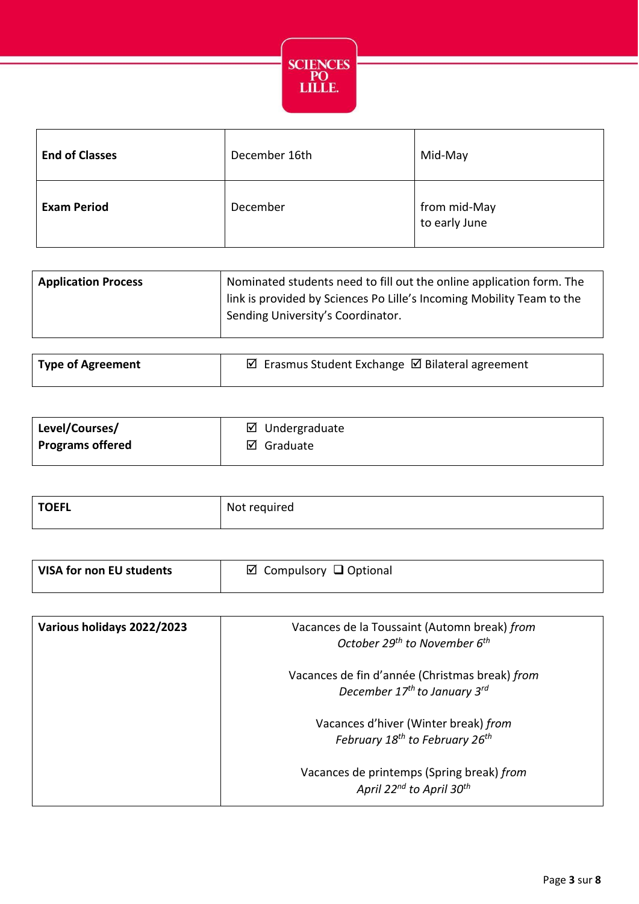

| <b>End of Classes</b> | December 16th | Mid-May                       |
|-----------------------|---------------|-------------------------------|
| <b>Exam Period</b>    | December      | from mid-May<br>to early June |

| <b>Application Process</b> | Nominated students need to fill out the online application form. The  |
|----------------------------|-----------------------------------------------------------------------|
|                            | link is provided by Sciences Po Lille's Incoming Mobility Team to the |
|                            | Sending University's Coordinator.                                     |
|                            |                                                                       |

| Type of Agreement | ☑ Erasmus Student Exchange Ø Bilateral agreement |
|-------------------|--------------------------------------------------|
|                   |                                                  |

| Level/Courses/          | ☑<br>Undergraduate |
|-------------------------|--------------------|
| <b>Programs offered</b> | ☑<br>Graduate      |

| <b>TOEFL</b> | Not required |
|--------------|--------------|
|              |              |

| VISA for non EU students | $\boxtimes$ Compulsory $\Box$ Optional |
|--------------------------|----------------------------------------|
|                          |                                        |

| Various holidays 2022/2023 | Vacances de la Toussaint (Automn break) from<br>October 29 <sup>th</sup> to November 6 <sup>th</sup>   |
|----------------------------|--------------------------------------------------------------------------------------------------------|
|                            | Vacances de fin d'année (Christmas break) from<br>December 17 <sup>th</sup> to January 3 <sup>rd</sup> |
|                            | Vacances d'hiver (Winter break) from<br>February 18 <sup>th</sup> to February 26 <sup>th</sup>         |
|                            | Vacances de printemps (Spring break) from<br>April 22 <sup>nd</sup> to April 30 <sup>th</sup>          |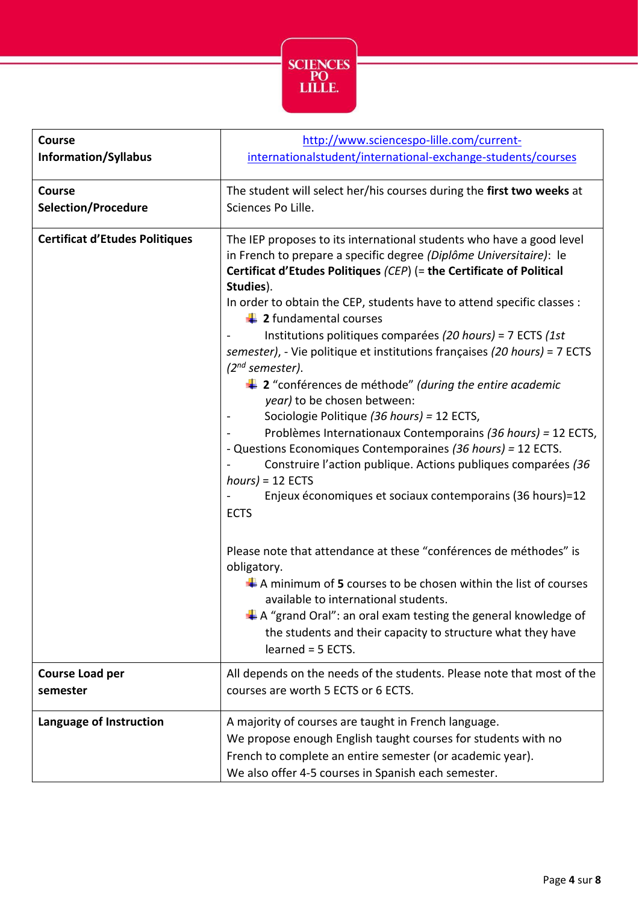

| <b>Course</b>                         | http://www.sciencespo-lille.com/current-                                                                                                                                                                                                                                                                                                                                                                                                                                                                                                                                                                                                                                                                                                                                                                                                                                                                                                                             |
|---------------------------------------|----------------------------------------------------------------------------------------------------------------------------------------------------------------------------------------------------------------------------------------------------------------------------------------------------------------------------------------------------------------------------------------------------------------------------------------------------------------------------------------------------------------------------------------------------------------------------------------------------------------------------------------------------------------------------------------------------------------------------------------------------------------------------------------------------------------------------------------------------------------------------------------------------------------------------------------------------------------------|
| <b>Information/Syllabus</b>           | internationalstudent/international-exchange-students/courses                                                                                                                                                                                                                                                                                                                                                                                                                                                                                                                                                                                                                                                                                                                                                                                                                                                                                                         |
| <b>Course</b>                         | The student will select her/his courses during the first two weeks at                                                                                                                                                                                                                                                                                                                                                                                                                                                                                                                                                                                                                                                                                                                                                                                                                                                                                                |
| <b>Selection/Procedure</b>            | Sciences Po Lille.                                                                                                                                                                                                                                                                                                                                                                                                                                                                                                                                                                                                                                                                                                                                                                                                                                                                                                                                                   |
| <b>Certificat d'Etudes Politiques</b> | The IEP proposes to its international students who have a good level<br>in French to prepare a specific degree (Diplôme Universitaire): le<br>Certificat d'Etudes Politiques (CEP) (= the Certificate of Political<br>Studies).<br>In order to obtain the CEP, students have to attend specific classes :<br>$\ddagger$ 2 fundamental courses<br>Institutions politiques comparées (20 hours) = 7 ECTS (1st<br>semester), - Vie politique et institutions françaises (20 hours) = 7 ECTS<br>$(2^{nd}$ semester).<br>$\ddagger$ 2 "conférences de méthode" (during the entire academic<br>year) to be chosen between:<br>Sociologie Politique (36 hours) = 12 ECTS,<br>Problèmes Internationaux Contemporains (36 hours) = 12 ECTS,<br>- Questions Economiques Contemporaines (36 hours) = 12 ECTS.<br>Construire l'action publique. Actions publiques comparées (36<br>$hours$ = 12 ECTS<br>Enjeux économiques et sociaux contemporains (36 hours)=12<br><b>ECTS</b> |
|                                       | Please note that attendance at these "conférences de méthodes" is<br>obligatory.<br>$\downarrow$ A minimum of 5 courses to be chosen within the list of courses<br>available to international students.<br>$\downarrow$ A "grand Oral": an oral exam testing the general knowledge of<br>the students and their capacity to structure what they have<br>learned = 5 ECTS.                                                                                                                                                                                                                                                                                                                                                                                                                                                                                                                                                                                            |
| <b>Course Load per</b>                | All depends on the needs of the students. Please note that most of the                                                                                                                                                                                                                                                                                                                                                                                                                                                                                                                                                                                                                                                                                                                                                                                                                                                                                               |
| semester                              | courses are worth 5 ECTS or 6 ECTS.                                                                                                                                                                                                                                                                                                                                                                                                                                                                                                                                                                                                                                                                                                                                                                                                                                                                                                                                  |
| Language of Instruction               | A majority of courses are taught in French language.<br>We propose enough English taught courses for students with no<br>French to complete an entire semester (or academic year).<br>We also offer 4-5 courses in Spanish each semester.                                                                                                                                                                                                                                                                                                                                                                                                                                                                                                                                                                                                                                                                                                                            |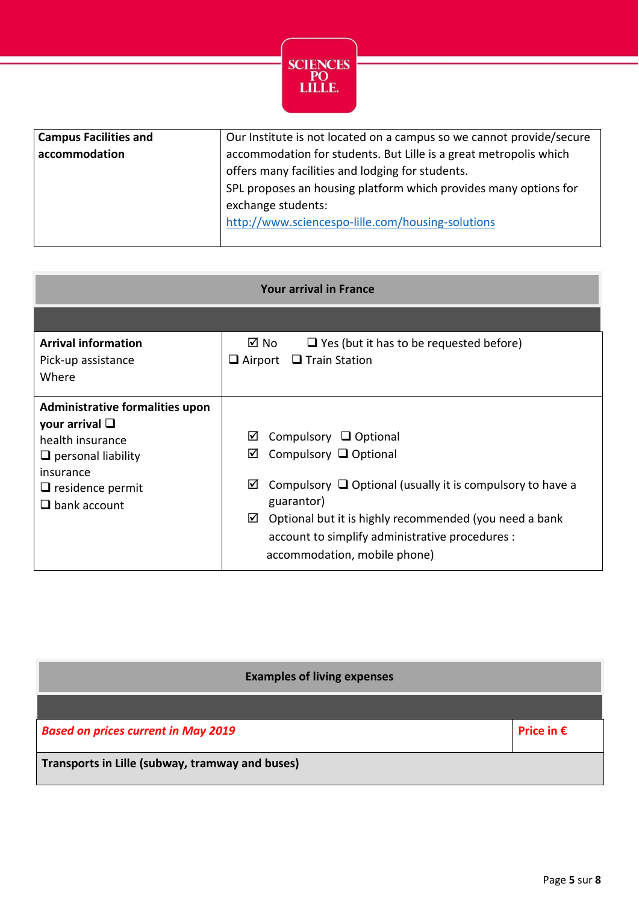

| <b>Campus Facilities and</b> | Our Institute is not located on a campus so we cannot provide/secure |
|------------------------------|----------------------------------------------------------------------|
| accommodation                | accommodation for students. But Lille is a great metropolis which    |
|                              | offers many facilities and lodging for students.                     |
|                              | SPL proposes an housing platform which provides many options for     |
|                              | exchange students:                                                   |
|                              | http://www.sciencespo-lille.com/housing-solutions                    |
|                              |                                                                      |

| <b>Your arrival in France</b>                                                                                                                                             |                                                                                                                                                                                                                                                                                                           |  |  |  |
|---------------------------------------------------------------------------------------------------------------------------------------------------------------------------|-----------------------------------------------------------------------------------------------------------------------------------------------------------------------------------------------------------------------------------------------------------------------------------------------------------|--|--|--|
|                                                                                                                                                                           |                                                                                                                                                                                                                                                                                                           |  |  |  |
| <b>Arrival information</b><br>Pick-up assistance<br>Where                                                                                                                 | ⊠ No<br>$\Box$ Yes (but it has to be requested before)<br>$\Box$ Train Station<br>$\Box$ Airport                                                                                                                                                                                                          |  |  |  |
| Administrative formalities upon<br>your arrival $\square$<br>health insurance<br>$\Box$ personal liability<br>insurance<br>$\Box$ residence permit<br>$\Box$ bank account | ☑<br>Compulsory $\Box$ Optional<br>Compulsory $\Box$ Optional<br>☑<br>☑<br>Compulsory $\Box$ Optional (usually it is compulsory to have a<br>guarantor)<br>Optional but it is highly recommended (you need a bank<br>☑<br>account to simplify administrative procedures :<br>accommodation, mobile phone) |  |  |  |

| <b>Examples of living expenses</b>              |                     |
|-------------------------------------------------|---------------------|
| <b>Based on prices current in May 2019</b>      | Price in $\epsilon$ |
| Transports in Lille (subway, tramway and buses) |                     |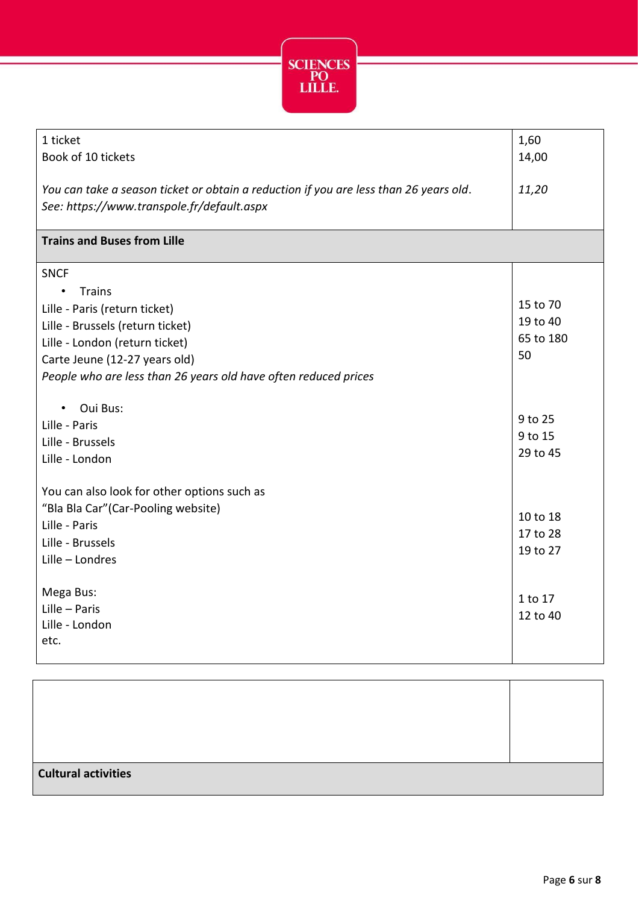

| 1 ticket<br>Book of 10 tickets                                                        | 1,60<br>14,00 |
|---------------------------------------------------------------------------------------|---------------|
|                                                                                       |               |
| You can take a season ticket or obtain a reduction if you are less than 26 years old. | 11,20         |
| See: https://www.transpole.fr/default.aspx                                            |               |
|                                                                                       |               |
| <b>Trains and Buses from Lille</b>                                                    |               |
| <b>SNCF</b>                                                                           |               |
| <b>Trains</b><br>$\bullet$                                                            |               |
| Lille - Paris (return ticket)                                                         | 15 to 70      |
| Lille - Brussels (return ticket)                                                      | 19 to 40      |
| Lille - London (return ticket)                                                        | 65 to 180     |
| Carte Jeune (12-27 years old)                                                         | 50            |
| People who are less than 26 years old have often reduced prices                       |               |
| Oui Bus:<br>$\bullet$                                                                 |               |
| Lille - Paris                                                                         | 9 to 25       |
| Lille - Brussels                                                                      | 9 to 15       |
| Lille - London                                                                        | 29 to 45      |
|                                                                                       |               |
| You can also look for other options such as                                           |               |
| "Bla Bla Car" (Car-Pooling website)                                                   | 10 to 18      |
| Lille - Paris                                                                         | 17 to 28      |
| Lille - Brussels                                                                      | 19 to 27      |
| Lille - Londres                                                                       |               |
| Mega Bus:                                                                             |               |
| Lille - Paris                                                                         | 1 to 17       |
| Lille - London                                                                        | 12 to 40      |
| etc.                                                                                  |               |
|                                                                                       |               |
|                                                                                       |               |
|                                                                                       |               |

| <b>Cultural activities</b> |  |
|----------------------------|--|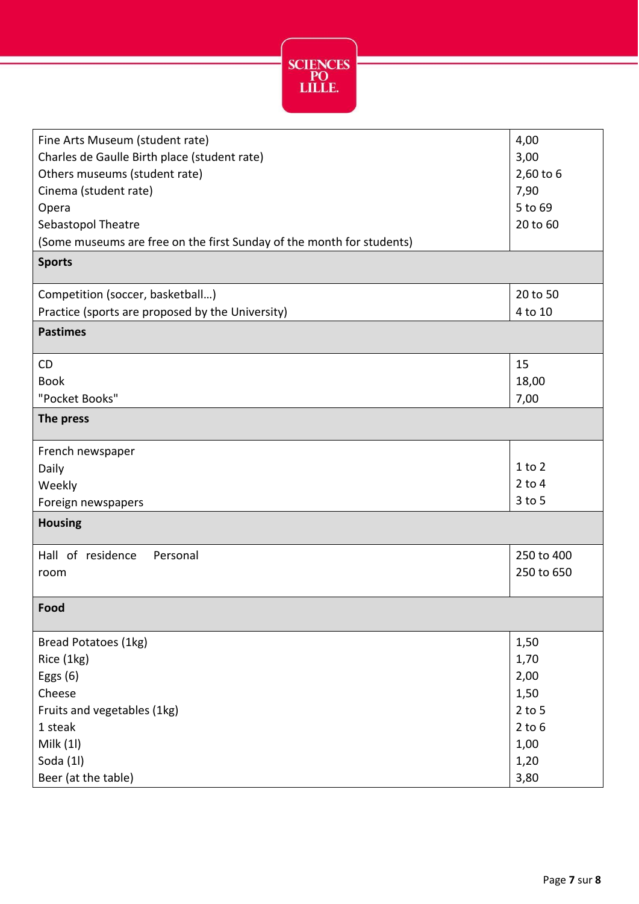

| Fine Arts Museum (student rate)<br>Charles de Gaulle Birth place (student rate)<br>Others museums (student rate)<br>Cinema (student rate)<br>Opera<br>Sebastopol Theatre | 4,00<br>3,00<br>2,60 to 6<br>7,90<br>5 to 69<br>20 to 60               |
|--------------------------------------------------------------------------------------------------------------------------------------------------------------------------|------------------------------------------------------------------------|
| (Some museums are free on the first Sunday of the month for students)                                                                                                    |                                                                        |
| <b>Sports</b>                                                                                                                                                            |                                                                        |
| Competition (soccer, basketball)<br>Practice (sports are proposed by the University)                                                                                     | 20 to 50<br>4 to 10                                                    |
| <b>Pastimes</b>                                                                                                                                                          |                                                                        |
| <b>CD</b><br><b>Book</b><br>"Pocket Books"<br>The press                                                                                                                  | 15<br>18,00<br>7,00                                                    |
| French newspaper<br>Daily<br>Weekly<br>Foreign newspapers<br><b>Housing</b>                                                                                              | $1$ to $2$<br>$2$ to $4$<br>$3$ to $5$                                 |
| Hall of residence<br>Personal<br>room                                                                                                                                    | 250 to 400<br>250 to 650                                               |
| Food                                                                                                                                                                     |                                                                        |
| Bread Potatoes (1kg)<br>Rice (1kg)<br>Eggs $(6)$<br>Cheese<br>Fruits and vegetables (1kg)<br>1 steak<br>Milk (1l)<br>Soda (1l)                                           | 1,50<br>1,70<br>2,00<br>1,50<br>$2$ to 5<br>$2$ to $6$<br>1,00<br>1,20 |
| Beer (at the table)                                                                                                                                                      | 3,80                                                                   |